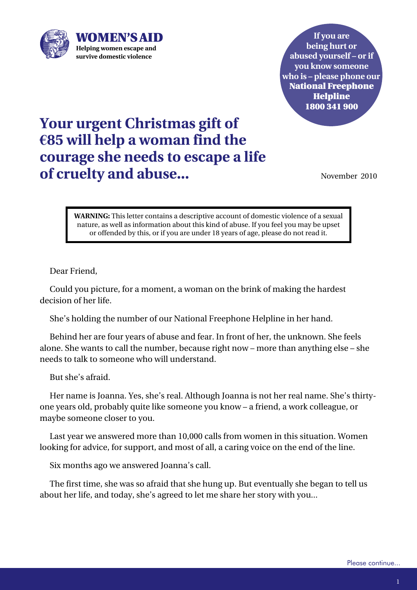

**If you are being hurt or abused yourself – or if you know someone who is – please phone our**  National Freephone **Helpline** 1800 341 900

# **Your urgent Christmas gift of €85 will help a woman find the courage she needs to escape a life of cruelty and abuse...**

November 2010

**WARNING:** This letter contains a descriptive account of domestic violence of a sexual nature, as well as information about this kind of abuse. If you feel you may be upset or offended by this, or if you are under 18 years of age, please do not read it.

Dear Friend,

Could you picture, for a moment, a woman on the brink of making the hardest decision of her life.

She's holding the number of our National Freephone Helpline in her hand.

Behind her are four years of abuse and fear. In front of her, the unknown. She feels alone. She wants to call the number, because right now – more than anything else – she needs to talk to someone who will understand.

But she's afraid.

Her name is Joanna. Yes, she's real. Although Joanna is not her real name. She's thirtyone years old, probably quite like someone you know – a friend, a work colleague, or maybe someone closer to you.

Last year we answered more than 10,000 calls from women in this situation. Women looking for advice, for support, and most of all, a caring voice on the end of the line.

Six months ago we answered Joanna's call.

The first time, she was so afraid that she hung up. But eventually she began to tell us about her life, and today, she's agreed to let me share her story with you...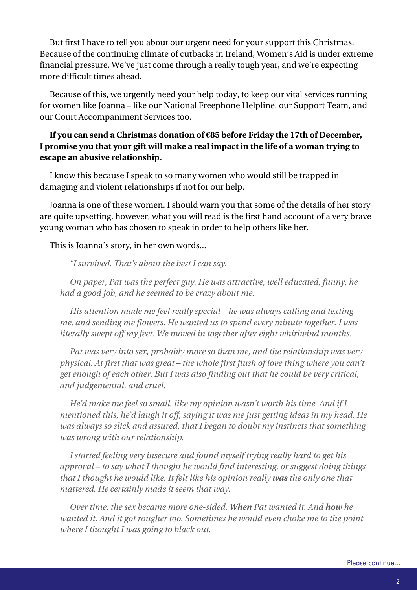But first I have to tell you about our urgent need for your support this Christmas. Because of the continuing climate of cutbacks in Ireland, Women's Aid is under extreme financial pressure. We've just come through a really tough year, and we're expecting more difficult times ahead.

Because of this, we urgently need your help today, to keep our vital services running for women like Joanna – like our National Freephone Helpline, our Support Team, and our Court Accompaniment Services too.

#### **If you can send a Christmas donation of €85 before Friday the 17th of December, I promise you that your gift will make a real impact in the life of a woman trying to escape an abusive relationship.**

I know this because I speak to so many women who would still be trapped in damaging and violent relationships if not for our help.

Joanna is one of these women. I should warn you that some of the details of her story are quite upsetting, however, what you will read is the first hand account of a very brave young woman who has chosen to speak in order to help others like her.

This is Joanna's story, in her own words...

*"I survived. That's about the best I can say.*

*On paper, Pat was the perfect guy. He was attractive, well educated, funny, he had a good job, and he seemed to be crazy about me.* 

*His attention made me feel really special – he was always calling and texting me, and sending me flowers. He wanted us to spend every minute together. I was literally swept off my feet. We moved in together after eight whirlwind months.* 

*Pat was very into sex, probably more so than me, and the relationship was very physical. At first that was great – the whole first flush of love thing where you can't get enough of each other. But I was also finding out that he could be very critical, and judgemental, and cruel.* 

*He'd make me feel so small, like my opinion wasn't worth his time. And if I mentioned this, he'd laugh it off, saying it was me just getting ideas in my head. He was always so slick and assured, that I began to doubt my instincts that something was wrong with our relationship.* 

*I started feeling very insecure and found myself trying really hard to get his approval – to say what I thought he would find interesting, or suggest doing things that I thought he would like. It felt like his opinion really was the only one that mattered. He certainly made it seem that way.*

*Over time, the sex became more one-sided. When Pat wanted it. And how he wanted it. And it got rougher too. Sometimes he would even choke me to the point where I thought I was going to black out.*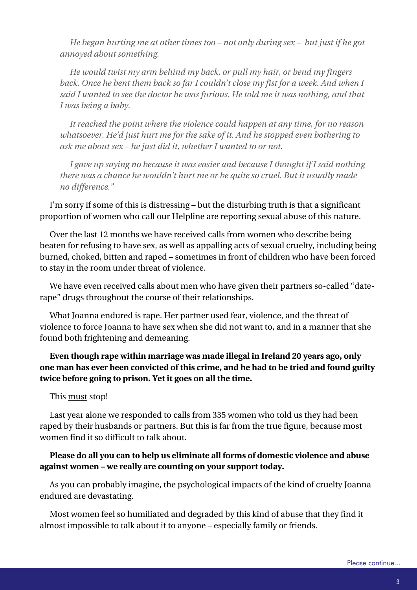*He began hurting me at other times too – not only during sex – but just if he got annoyed about something.*

*He would twist my arm behind my back, or pull my hair, or bend my fingers*  back. Once he bent them back so far I couldn't close my fist for a week. And when I *said I wanted to see the doctor he was furious. He told me it was nothing, and that I was being a baby.*

*It reached the point where the violence could happen at any time, for no reason whatsoever. He'd just hurt me for the sake of it. And he stopped even bothering to ask me about sex – he just did it, whether I wanted to or not.* 

*I gave up saying no because it was easier and because I thought if I said nothing there was a chance he wouldn't hurt me or be quite so cruel. But it usually made no difference."*

I'm sorry if some of this is distressing – but the disturbing truth is that a significant proportion of women who call our Helpline are reporting sexual abuse of this nature.

Over the last 12 months we have received calls from women who describe being beaten for refusing to have sex, as well as appalling acts of sexual cruelty, including being burned, choked, bitten and raped – sometimes in front of children who have been forced to stay in the room under threat of violence.

We have even received calls about men who have given their partners so-called "daterape" drugs throughout the course of their relationships.

What Joanna endured is rape. Her partner used fear, violence, and the threat of violence to force Joanna to have sex when she did not want to, and in a manner that she found both frightening and demeaning.

## **Even though rape within marriage was made illegal in Ireland 20 years ago, only one man has ever been convicted of this crime, and he had to be tried and found guilty twice before going to prison. Yet it goes on all the time.**

This <u>must</u> stop!

Last year alone we responded to calls from 335 women who told us they had been raped by their husbands or partners. But this is far from the true figure, because most women find it so difficult to talk about.

## **Please do all you can to help us eliminate all forms of domestic violence and abuse against women – we really are counting on your support today.**

As you can probably imagine, the psychological impacts of the kind of cruelty Joanna endured are devastating.

Most women feel so humiliated and degraded by this kind of abuse that they find it almost impossible to talk about it to anyone – especially family or friends.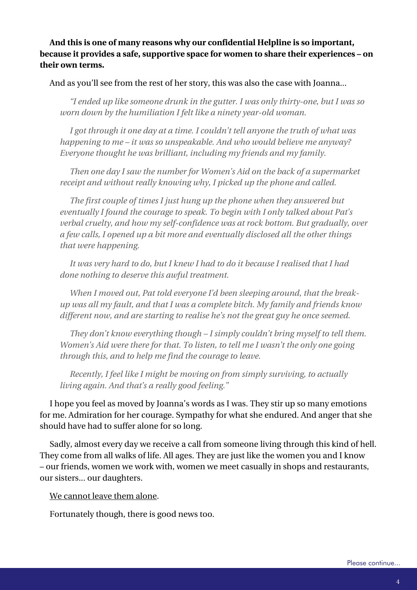**And this is one of many reasons why our confidential Helpline is so important, because it provides a safe, supportive space for women to share their experiences – on their own terms.**

And as you'll see from the rest of her story, this was also the case with Joanna...

*"I ended up like someone drunk in the gutter. I was only thirty-one, but I was so worn down by the humiliation I felt like a ninety year-old woman.* 

*I got through it one day at a time. I couldn't tell anyone the truth of what was happening to me – it was so unspeakable. And who would believe me anyway? Everyone thought he was brilliant, including my friends and my family.* 

*Then one day I saw the number for Women's Aid on the back of a supermarket receipt and without really knowing why, I picked up the phone and called.*

*The first couple of times I just hung up the phone when they answered but eventually I found the courage to speak. To begin with I only talked about Pat's verbal cruelty, and how my self-confidence was at rock bottom. But gradually, over a few calls, I opened up a bit more and eventually disclosed all the other things that were happening.*

*It was very hard to do, but I knew I had to do it because I realised that I had done nothing to deserve this awful treatment.*

*When I moved out, Pat told everyone I'd been sleeping around, that the breakup was all my fault, and that I was a complete bitch. My family and friends know different now, and are starting to realise he's not the great guy he once seemed.* 

*They don't know everything though – I simply couldn't bring myself to tell them. Women's Aid were there for that. To listen, to tell me I wasn't the only one going through this, and to help me find the courage to leave.* 

*Recently, I feel like I might be moving on from simply surviving, to actually living again. And that's a really good feeling."*

I hope you feel as moved by Joanna's words as I was. They stir up so many emotions for me. Admiration for her courage. Sympathy for what she endured. And anger that she should have had to suffer alone for so long.

Sadly, almost every day we receive a call from someone living through this kind of hell. They come from all walks of life. All ages. They are just like the women you and I know – our friends, women we work with, women we meet casually in shops and restaurants, our sisters... our daughters.

We cannot leave them alone.

Fortunately though, there is good news too.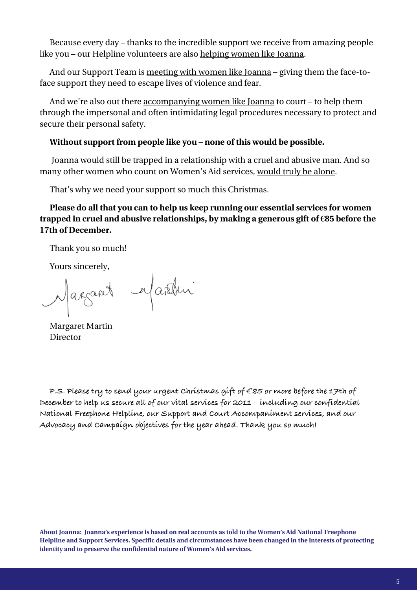Because every day – thanks to the incredible support we receive from amazing people like you – our Helpline volunteers are also helping women like Joanna.

And our Support Team is meeting with women like Joanna – giving them the face-toface support they need to escape lives of violence and fear.

And we're also out there accompanying women like Joanna to court – to help them through the impersonal and often intimidating legal procedures necessary to protect and secure their personal safety.

#### **Without support from people like you – none of this would be possible.**

 Joanna would still be trapped in a relationship with a cruel and abusive man. And so many other women who count on Women's Aid services, would truly be alone.

That's why we need your support so much this Christmas.

**Please do all that you can to help us keep running our essential services for women**  trapped in cruel and abusive relationships, by making a generous gift of €85 before the **17th of December.**

Thank you so much!

Yours sincerely,

Margaret enfanturi

Margaret Martin Director

P.S. Please try to send your urgent Christmas gift of €85 or more before the 17th of **December to help us secure all of our vital services for 2011 – including our confidential National Freephone Helpline, our Support and Court Accompaniment services, and our Advocacy and Campaign objectives for the year ahead. Thank you so much!**

**About Joanna: Joanna's experience is based on real accounts as told to the Women's Aid National Freephone Helpline and Support Services. Specific details and circumstances have been changed in the interests of protecting identity and to preserve the confidential nature of Women's Aid services.**